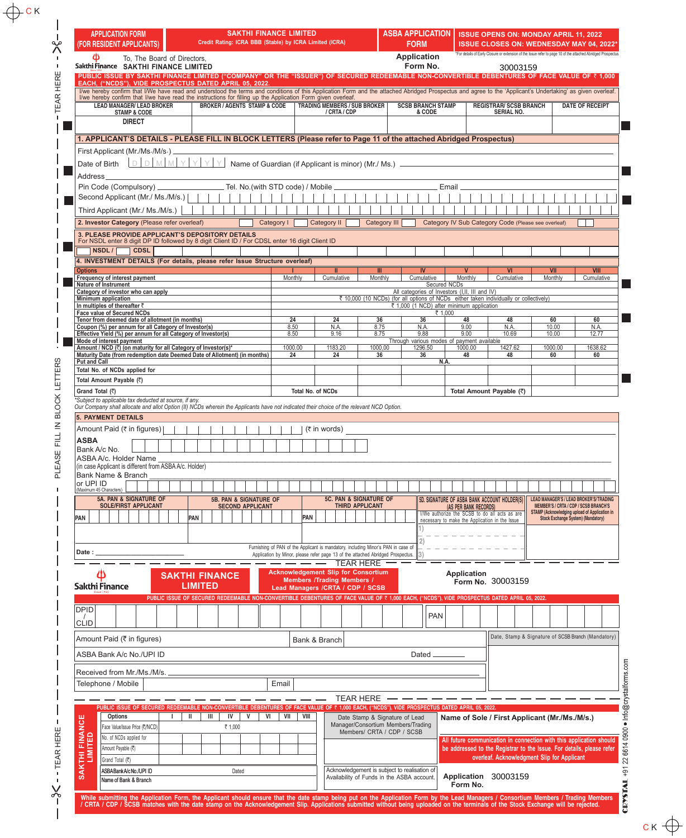| <b>APPLICATION FORM</b><br>(FOR RESIDENT APPLICANTS)<br>Φ<br>To, The Board of Directors,                                                                                                                                                                             | <b>SAKTHI FINANCE LIMITED</b><br>Credit Rating: ICRA BBB (Stable) by ICRA Limited (ICRA)                                                     |                   |                                                                                   | <b>ASBA APPLICATION</b><br><b>FORM</b><br><b>Application</b> |                                                                | <b>ISSUE OPENS ON: MONDAY APRIL 11, 2022</b><br>ISSUE CLOSES ON: WEDNESDAY MAY 04, 2022*<br>*For details of Early Closure or extension of the Issue refer to page 10 of the attached Abridged Prospectus |                                                                                               |                                    |
|----------------------------------------------------------------------------------------------------------------------------------------------------------------------------------------------------------------------------------------------------------------------|----------------------------------------------------------------------------------------------------------------------------------------------|-------------------|-----------------------------------------------------------------------------------|--------------------------------------------------------------|----------------------------------------------------------------|----------------------------------------------------------------------------------------------------------------------------------------------------------------------------------------------------------|-----------------------------------------------------------------------------------------------|------------------------------------|
| Sakthi Finance SAKTHI FINANCE LIMITED<br>PUBLIC ISSUE BY SAKTHI FINANCE LIMITED ("COMPANY" OR THE "ISSUER") OF SECURED REDEEMABLE NON-CONVERTIBLE DEBENTURES OF FACE VALUE OF ₹ 1,000                                                                                |                                                                                                                                              |                   |                                                                                   | Form No.                                                     |                                                                | 30003159                                                                                                                                                                                                 |                                                                                               |                                    |
| EACH, ("NCDS"), VIDE PROSPECTUS DATED APRIL 05, 2022.<br>I/we hereby confirm that I/We have read and understood the terms and conditions of this Application Form and the attached Abridged Prospectus and agree to the 'Applicant's Undertaking' as given overleaf. |                                                                                                                                              |                   |                                                                                   |                                                              |                                                                |                                                                                                                                                                                                          |                                                                                               |                                    |
| I/we hereby confirm that I/we have read the instructions for filling up the Application Form given overleaf.<br><b>LEAD MANAGER/ LEAD BROKER</b>                                                                                                                     | <b>BROKER / AGENTS STAMP &amp; CODE</b>                                                                                                      |                   | <b>TRADING MEMBERS / SUB BROKER</b>                                               |                                                              | <b>SCSB BRANCH STAMP</b>                                       | <b>REGISTRAR/ SCSB BRANCH</b>                                                                                                                                                                            |                                                                                               | <b>DATE OF RECEIPT</b>             |
| <b>STAMP &amp; CODE</b><br><b>DIRECT</b>                                                                                                                                                                                                                             |                                                                                                                                              |                   | / CRTA / CDP                                                                      |                                                              | & CODE                                                         | SERIAL NO.                                                                                                                                                                                               |                                                                                               |                                    |
|                                                                                                                                                                                                                                                                      |                                                                                                                                              |                   |                                                                                   |                                                              |                                                                |                                                                                                                                                                                                          |                                                                                               |                                    |
| 1. APPLICANT'S DETAILS - PLEASE FILL IN BLOCK LETTERS (Please refer to Page 11 of the attached Abridged Prospectus)<br>First Applicant (Mr./Ms./M/s.)                                                                                                                |                                                                                                                                              |                   |                                                                                   |                                                              |                                                                |                                                                                                                                                                                                          |                                                                                               |                                    |
| DDMM<br>Y.<br>Date of Birth                                                                                                                                                                                                                                          | YY<br>Name of Guardian (if Applicant is minor) (Mr./ Ms.) -                                                                                  |                   |                                                                                   |                                                              |                                                                |                                                                                                                                                                                                          |                                                                                               |                                    |
| <b>Address</b>                                                                                                                                                                                                                                                       |                                                                                                                                              |                   |                                                                                   |                                                              |                                                                |                                                                                                                                                                                                          |                                                                                               |                                    |
| Pin Code (Compulsory).                                                                                                                                                                                                                                               | Tel. No.(with STD code) / Mobile                                                                                                             |                   |                                                                                   |                                                              | Email                                                          |                                                                                                                                                                                                          |                                                                                               |                                    |
| Second Applicant (Mr./ Ms./M/s.)  <br>Third Applicant (Mr./ Ms./M/s.)                                                                                                                                                                                                |                                                                                                                                              |                   |                                                                                   |                                                              |                                                                |                                                                                                                                                                                                          |                                                                                               |                                    |
| 2. Investor Category (Please refer overleaf)                                                                                                                                                                                                                         | Category I                                                                                                                                   |                   | <b>Category II</b>                                                                | Category III                                                 |                                                                | Category IV Sub Category Code (Please see overleaf)                                                                                                                                                      |                                                                                               |                                    |
| 3. PLEASE PROVIDE APPLICANT'S DEPOSITORY DETAILS                                                                                                                                                                                                                     |                                                                                                                                              |                   |                                                                                   |                                                              |                                                                |                                                                                                                                                                                                          |                                                                                               |                                    |
| For NSDL enter 8 digit DP ID followed by 8 digit Client ID / For CDSL enter 16 digit Client ID<br><b>CDSL</b><br>NSDL/                                                                                                                                               |                                                                                                                                              |                   |                                                                                   |                                                              |                                                                |                                                                                                                                                                                                          |                                                                                               |                                    |
| 4. INVESTMENT DETAILS (For details, please refer Issue Structure overleaf)                                                                                                                                                                                           |                                                                                                                                              |                   |                                                                                   |                                                              |                                                                |                                                                                                                                                                                                          |                                                                                               |                                    |
| <b>Options</b><br>Frequency of interest payment                                                                                                                                                                                                                      |                                                                                                                                              | Monthly           | Cumulative                                                                        | Monthly<br>Cumulative                                        | Monthly                                                        | Cumulative                                                                                                                                                                                               | VII<br>Monthly                                                                                | Cumulative                         |
| Nature of Instrument<br>Category of investor who can apply                                                                                                                                                                                                           |                                                                                                                                              |                   |                                                                                   |                                                              | Secured NCDs<br>All categories of Investors (I, I, III and IV) |                                                                                                                                                                                                          |                                                                                               |                                    |
| Minimum application<br>In multiples of thereafter ₹                                                                                                                                                                                                                  |                                                                                                                                              |                   |                                                                                   |                                                              |                                                                | ₹ 10,000 (10 NCDs) (for all options of NCDs either taken individually or collectively)                                                                                                                   |                                                                                               |                                    |
| Face value of Secured NCDs                                                                                                                                                                                                                                           |                                                                                                                                              |                   |                                                                                   |                                                              | ₹ 1,000 (1 NCD) after minimum application<br>₹ 1.000           |                                                                                                                                                                                                          |                                                                                               |                                    |
| Tenor from deemed date of allotment (in months)<br>Coupon (%) per annum for all Category of Investor(s)<br>Effective Yield (%) per annum for all Category of Investor(s)                                                                                             |                                                                                                                                              | 24<br>8.50        | 24<br>N.A.                                                                        | 36<br>36<br>8.75<br>N.A.                                     | 48<br>9.00                                                     | 48<br>N.A                                                                                                                                                                                                | 60<br>10.00                                                                                   |                                    |
| Mode of interest payment                                                                                                                                                                                                                                             |                                                                                                                                              | 8.50              | 9.16                                                                              | 8.75<br>9.88                                                 | 9.00<br>Through various modes of payment available             | 10.69                                                                                                                                                                                                    | 10.00                                                                                         |                                    |
| Amount / NCD (₹) (on maturity for all Category of Investor(s)*<br>Maturity Date (from redemption date Deemed Date of Allotment) (in months)                                                                                                                          |                                                                                                                                              | 1000.00<br>24     | 1183.20<br>24                                                                     | 1000,00<br>1296.50<br>36<br>36                               | 1000.00<br>48                                                  | 1427.62<br>48                                                                                                                                                                                            | 1000.00<br>60                                                                                 |                                    |
| <b>Put and Call</b><br>Total No. of NCDs applied for                                                                                                                                                                                                                 |                                                                                                                                              |                   |                                                                                   |                                                              | N.A                                                            |                                                                                                                                                                                                          |                                                                                               |                                    |
| Total Amount Payable (₹)                                                                                                                                                                                                                                             |                                                                                                                                              |                   |                                                                                   |                                                              |                                                                |                                                                                                                                                                                                          |                                                                                               |                                    |
| Grand Total (₹)                                                                                                                                                                                                                                                      |                                                                                                                                              | Total No. of NCDs |                                                                                   |                                                              |                                                                | Total Amount Payable (₹)                                                                                                                                                                                 |                                                                                               |                                    |
| *Subject to applicable tax deducted at source, if any.<br>Our Company shall allocate and allot Option (II) NCDs wherein the Applicants have not indicated their choice of the relevant NCD Option.                                                                   |                                                                                                                                              |                   |                                                                                   |                                                              |                                                                |                                                                                                                                                                                                          |                                                                                               |                                    |
| 5. PAYMENT DETAILS                                                                                                                                                                                                                                                   |                                                                                                                                              |                   |                                                                                   |                                                              |                                                                |                                                                                                                                                                                                          |                                                                                               |                                    |
| Amount Paid (₹ in figures)                                                                                                                                                                                                                                           |                                                                                                                                              |                   | $(5$ in words)                                                                    |                                                              |                                                                |                                                                                                                                                                                                          |                                                                                               |                                    |
| <b>ASBA</b><br>Bank A/c No.                                                                                                                                                                                                                                          |                                                                                                                                              |                   |                                                                                   |                                                              |                                                                |                                                                                                                                                                                                          |                                                                                               |                                    |
| ASBA A/c. Holder Name                                                                                                                                                                                                                                                |                                                                                                                                              |                   |                                                                                   |                                                              |                                                                |                                                                                                                                                                                                          |                                                                                               |                                    |
| (in case Applicant is different from ASBA A/c. Holder)<br>Bank Name & Branch                                                                                                                                                                                         |                                                                                                                                              |                   |                                                                                   |                                                              |                                                                |                                                                                                                                                                                                          |                                                                                               |                                    |
| or UPI ID<br>(Maximum 45 Characters)                                                                                                                                                                                                                                 |                                                                                                                                              |                   |                                                                                   |                                                              |                                                                |                                                                                                                                                                                                          |                                                                                               |                                    |
| 5A. PAN & SIGNATURE OF<br><b>SOLE/FIRST APPLICANT</b>                                                                                                                                                                                                                | <b>5B. PAN &amp; SIGNATURE OF</b><br><b>SECOND APPLICANT</b>                                                                                 |                   | 5C. PAN & SIGNATURE OF<br><b>THIRD APPLICANT</b>                                  |                                                              |                                                                | 5D. SIGNATURE OF ASBA BANK ACCOUNT HOLDER(S)                                                                                                                                                             | <b>LEAD MANAGER'S / LEAD BROKER'S/TRADING</b><br><b>MEMBER'S / CRTA / CDP / SCSB BRANCH'S</b> |                                    |
| PAN                                                                                                                                                                                                                                                                  | PAN                                                                                                                                          | PAN               |                                                                                   |                                                              |                                                                | (AS PER BANK RECORDS)<br>I/We authorize the SCSB to do all acts as are<br>necessary to make the Application in the Issue                                                                                 | STAMP (Acknowledging upload of Application in                                                 | Stock Exchange System) (Mandatory) |
|                                                                                                                                                                                                                                                                      |                                                                                                                                              |                   |                                                                                   |                                                              |                                                                |                                                                                                                                                                                                          |                                                                                               |                                    |
|                                                                                                                                                                                                                                                                      |                                                                                                                                              |                   | Furnishing of PAN of the Applicant is mandatory, including Minor's PAN in case of |                                                              |                                                                |                                                                                                                                                                                                          |                                                                                               |                                    |
| Date:                                                                                                                                                                                                                                                                |                                                                                                                                              |                   | Application by Minor, please refer page 13 of the attached Abridged Prospectus.   |                                                              |                                                                |                                                                                                                                                                                                          |                                                                                               |                                    |
|                                                                                                                                                                                                                                                                      |                                                                                                                                              | - -               | <b>TEAR HERE</b><br><b>Acknowledgement Slip for Consortium</b>                    |                                                              | <b>Application</b>                                             |                                                                                                                                                                                                          |                                                                                               |                                    |
| Sakthi Finance                                                                                                                                                                                                                                                       | <b>SAKTHI FINANCE</b><br><b>LIMITED</b>                                                                                                      |                   | <b>Members /Trading Members /</b><br>Lead Managers /CRTA / CDP / SCSB             |                                                              |                                                                | Form No. 30003159                                                                                                                                                                                        |                                                                                               |                                    |
|                                                                                                                                                                                                                                                                      | PUBLIC ISSUE OF SECURED REDEEMABLE NON-CONVERTIBLE DEBENTURES OF FACE VALUE OF ₹ 1,000 EACH, ("NCDS"), VIDE PROSPECTUS DATED APRIL 05, 2022. |                   |                                                                                   |                                                              |                                                                |                                                                                                                                                                                                          |                                                                                               |                                    |
| DPID                                                                                                                                                                                                                                                                 |                                                                                                                                              |                   |                                                                                   |                                                              |                                                                |                                                                                                                                                                                                          |                                                                                               |                                    |
|                                                                                                                                                                                                                                                                      |                                                                                                                                              |                   |                                                                                   |                                                              | <b>PAN</b>                                                     |                                                                                                                                                                                                          |                                                                                               |                                    |
| <b>CLID</b>                                                                                                                                                                                                                                                          |                                                                                                                                              |                   |                                                                                   |                                                              |                                                                |                                                                                                                                                                                                          | Date, Stamp & Signature of SCSB Branch (Mandatory)                                            |                                    |
| Amount Paid (₹ in figures)                                                                                                                                                                                                                                           |                                                                                                                                              |                   |                                                                                   |                                                              |                                                                |                                                                                                                                                                                                          |                                                                                               |                                    |
|                                                                                                                                                                                                                                                                      |                                                                                                                                              | Bank & Branch     |                                                                                   |                                                              |                                                                |                                                                                                                                                                                                          |                                                                                               |                                    |
| ASBA Bank A/c No./UPI ID                                                                                                                                                                                                                                             |                                                                                                                                              |                   |                                                                                   | Dated                                                        |                                                                |                                                                                                                                                                                                          |                                                                                               |                                    |
| Received from Mr./Ms./M/s.                                                                                                                                                                                                                                           |                                                                                                                                              |                   |                                                                                   |                                                              |                                                                |                                                                                                                                                                                                          |                                                                                               |                                    |
| Telephone / Mobile                                                                                                                                                                                                                                                   | Email                                                                                                                                        |                   |                                                                                   |                                                              |                                                                |                                                                                                                                                                                                          |                                                                                               |                                    |
|                                                                                                                                                                                                                                                                      |                                                                                                                                              |                   | <b>TEAR HERE</b>                                                                  |                                                              |                                                                |                                                                                                                                                                                                          |                                                                                               |                                    |
| PUBLIC ISSUE OF SECURED REDEEMABLE NON-CONVERTIBLE DEBENTURES OF FACE VALUE OF ₹ 1,000 EACH, ("NCDS"), VIDE PROSPECTUS DATED APRIL 05, 2022.<br>Options<br>$\mathbf{I}$<br>Ш                                                                                         | Ш<br>IV<br>VI<br>V                                                                                                                           | VII<br>VIII       |                                                                                   | Date Stamp & Signature of Lead                               |                                                                |                                                                                                                                                                                                          |                                                                                               |                                    |
| Face Value/Issue Price (₹/NCD)                                                                                                                                                                                                                                       | ₹ 1,000                                                                                                                                      |                   |                                                                                   | Manager/Consortium Members/Trading                           |                                                                | Name of Sole / First Applicant (Mr./Ms./M/s.)                                                                                                                                                            |                                                                                               |                                    |
| No. of NCDs applied for                                                                                                                                                                                                                                              |                                                                                                                                              |                   |                                                                                   | Members/ CRTA / CDP / SCSB                                   |                                                                | All future communication in connection with this application should                                                                                                                                      |                                                                                               |                                    |
| Amount Payable (天)                                                                                                                                                                                                                                                   |                                                                                                                                              |                   |                                                                                   |                                                              |                                                                | be addressed to the Registrar to the Issue. For details, please refer<br>overleaf. Acknowledgment Slip for Applicant                                                                                     |                                                                                               |                                    |
| KTHI FINANCE<br>LIMITED<br>Grand Total (₹)<br>ASBABankA/cNo./UPI ID                                                                                                                                                                                                  | Dated                                                                                                                                        |                   |                                                                                   | Acknowledgement is subject to realisation of                 |                                                                |                                                                                                                                                                                                          |                                                                                               |                                    |
| ङ<br>Name of Bank & Branch                                                                                                                                                                                                                                           |                                                                                                                                              |                   |                                                                                   | Availability of Funds in the ASBA account.                   | Form No.                                                       | Application 30003159                                                                                                                                                                                     |                                                                                               |                                    |

 $c \kappa \Leftrightarrow$